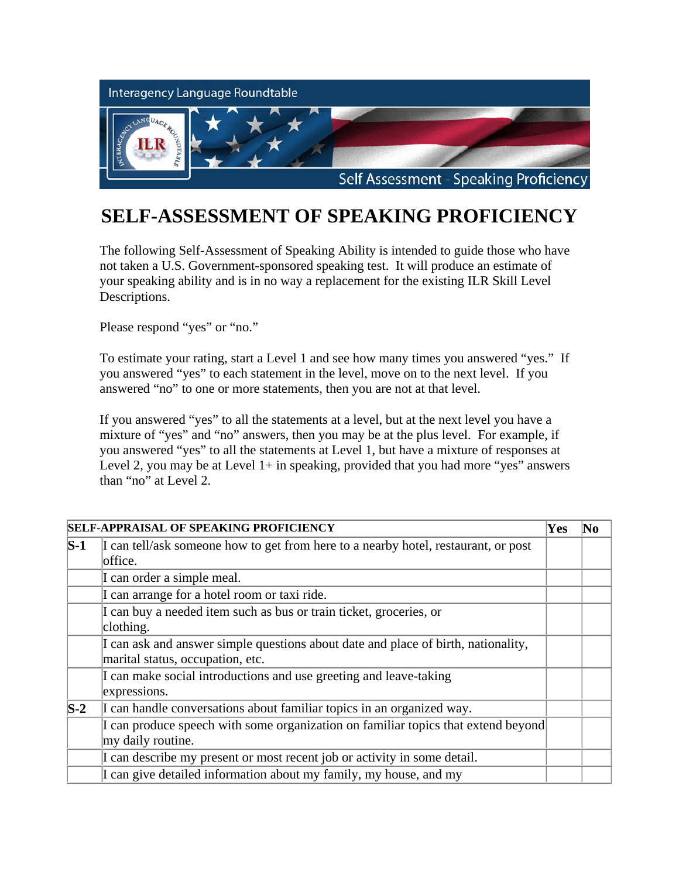

## **SELF-ASSESSMENT OF SPEAKING PROFICIENCY**

The following Self-Assessment of Speaking Ability is intended to guide those who have not taken a U.S. Government-sponsored speaking test. It will produce an estimate of your speaking ability and is in no way a replacement for the existing ILR Skill Level Descriptions.

Please respond "yes" or "no."

To estimate your rating, start a Level 1 and see how many times you answered "yes." If you answered "yes" to each statement in the level, move on to the next level. If you answered "no" to one or more statements, then you are not at that level.

If you answered "yes" to all the statements at a level, but at the next level you have a mixture of "yes" and "no" answers, then you may be at the plus level. For example, if you answered "yes" to all the statements at Level 1, but have a mixture of responses at Level 2, you may be at Level  $1+$  in speaking, provided that you had more "yes" answers than "no" at Level 2.

|                       | <b>SELF-APPRAISAL OF SPEAKING PROFICIENCY</b>                                      | $\bf Yes$ | No |
|-----------------------|------------------------------------------------------------------------------------|-----------|----|
| $\mathbf{S}\text{-}1$ | I can tell/ask someone how to get from here to a nearby hotel, restaurant, or post |           |    |
|                       | office.                                                                            |           |    |
|                       | I can order a simple meal.                                                         |           |    |
|                       | I can arrange for a hotel room or taxi ride.                                       |           |    |
|                       | I can buy a needed item such as bus or train ticket, groceries, or                 |           |    |
|                       | clothing.                                                                          |           |    |
|                       | I can ask and answer simple questions about date and place of birth, nationality,  |           |    |
|                       | marital status, occupation, etc.                                                   |           |    |
|                       | I can make social introductions and use greeting and leave-taking                  |           |    |
|                       | expressions.                                                                       |           |    |
| $\mathbf{S}\text{-}2$ | I can handle conversations about familiar topics in an organized way.              |           |    |
|                       | I can produce speech with some organization on familiar topics that extend beyond  |           |    |
|                       | my daily routine.                                                                  |           |    |
|                       | I can describe my present or most recent job or activity in some detail.           |           |    |
|                       | I can give detailed information about my family, my house, and my                  |           |    |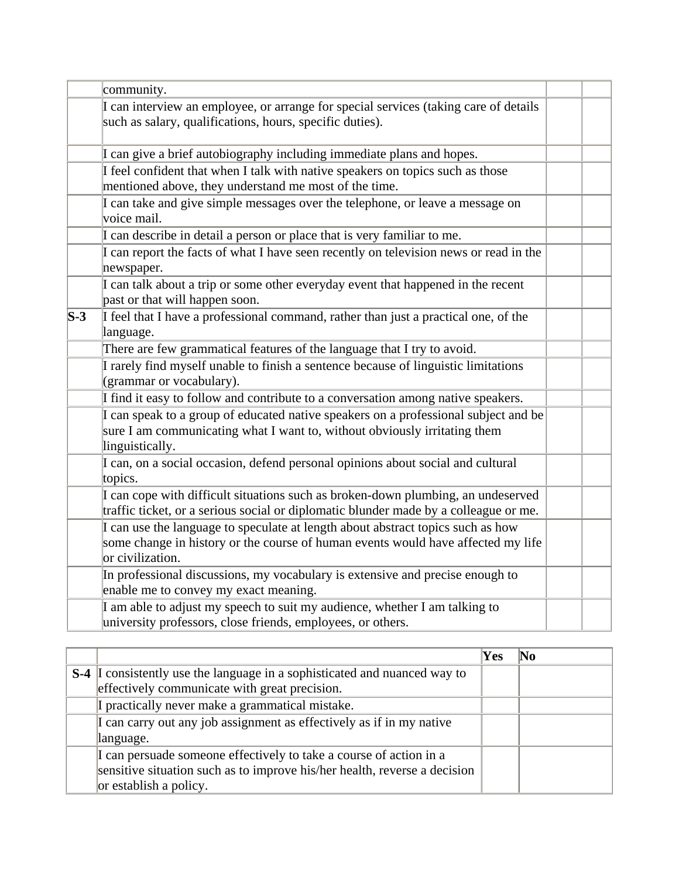|                       | community.                                                                                                                                                                              |  |
|-----------------------|-----------------------------------------------------------------------------------------------------------------------------------------------------------------------------------------|--|
|                       | I can interview an employee, or arrange for special services (taking care of details<br>such as salary, qualifications, hours, specific duties).                                        |  |
|                       | I can give a brief autobiography including immediate plans and hopes.                                                                                                                   |  |
|                       | I feel confident that when I talk with native speakers on topics such as those<br>mentioned above, they understand me most of the time.                                                 |  |
|                       | I can take and give simple messages over the telephone, or leave a message on<br>voice mail.                                                                                            |  |
|                       | I can describe in detail a person or place that is very familiar to me.                                                                                                                 |  |
|                       | I can report the facts of what I have seen recently on television news or read in the<br>newspaper.                                                                                     |  |
|                       | I can talk about a trip or some other everyday event that happened in the recent<br>past or that will happen soon.                                                                      |  |
| $\mathbf{S}\text{-}3$ | I feel that I have a professional command, rather than just a practical one, of the<br>language.                                                                                        |  |
|                       | There are few grammatical features of the language that I try to avoid.                                                                                                                 |  |
|                       | I rarely find myself unable to finish a sentence because of linguistic limitations<br>(grammar or vocabulary).                                                                          |  |
|                       | I find it easy to follow and contribute to a conversation among native speakers.                                                                                                        |  |
|                       | I can speak to a group of educated native speakers on a professional subject and be<br>sure I am communicating what I want to, without obviously irritating them<br>linguistically.     |  |
|                       | I can, on a social occasion, defend personal opinions about social and cultural<br>topics.                                                                                              |  |
|                       | I can cope with difficult situations such as broken-down plumbing, an undeserved<br>traffic ticket, or a serious social or diplomatic blunder made by a colleague or me.                |  |
|                       | I can use the language to speculate at length about abstract topics such as how<br>some change in history or the course of human events would have affected my life<br>or civilization. |  |
|                       | In professional discussions, my vocabulary is extensive and precise enough to<br>enable me to convey my exact meaning.                                                                  |  |
|                       | I am able to adjust my speech to suit my audience, whether I am talking to<br>university professors, close friends, employees, or others.                                               |  |

|                                                                            | $\mathbf{Yes}$ |  |
|----------------------------------------------------------------------------|----------------|--|
| S-4  I consistently use the language in a sophisticated and nuanced way to |                |  |
| effectively communicate with great precision.                              |                |  |
| I practically never make a grammatical mistake.                            |                |  |
| I can carry out any job assignment as effectively as if in my native       |                |  |
| language.                                                                  |                |  |
| I can persuade someone effectively to take a course of action in a         |                |  |
| sensitive situation such as to improve his/her health, reverse a decision  |                |  |
| or establish a policy.                                                     |                |  |